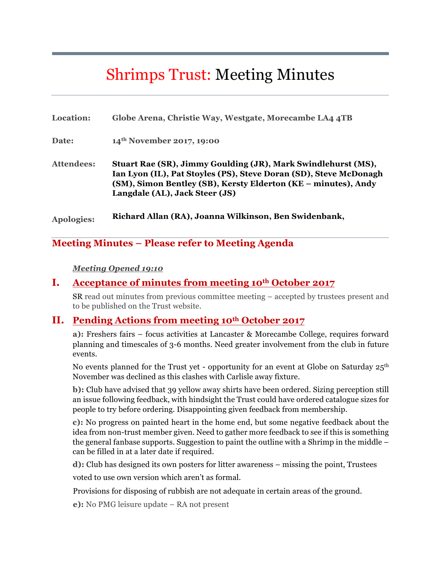# Shrimps Trust: Meeting Minutes

| Location:         | Globe Arena, Christie Way, Westgate, Morecambe LA4 4TB                                                                                                                                                                                 |
|-------------------|----------------------------------------------------------------------------------------------------------------------------------------------------------------------------------------------------------------------------------------|
| Date:             | 14 <sup>th</sup> November 2017, 19:00                                                                                                                                                                                                  |
| <b>Attendees:</b> | Stuart Rae (SR), Jimmy Goulding (JR), Mark Swindlehurst (MS),<br>Ian Lyon (IL), Pat Stoyles (PS), Steve Doran (SD), Steve McDonagh<br>(SM), Simon Bentley (SB), Kersty Elderton (KE – minutes), Andy<br>Langdale (AL), Jack Steer (JS) |
| <b>Apologies:</b> | Richard Allan (RA), Joanna Wilkinson, Ben Swidenbank,                                                                                                                                                                                  |

**Meeting Minutes – Please refer to Meeting Agenda**

#### *Meeting Opened 19:10*

#### **I. Acceptance of minutes from meeting 10th October 2017**

SR read out minutes from previous committee meeting – accepted by trustees present and to be published on the Trust website.

#### **II. Pending Actions from meeting 10th October 2017**

**a):** Freshers fairs – focus activities at Lancaster & Morecambe College, requires forward planning and timescales of 3-6 months. Need greater involvement from the club in future events.

No events planned for the Trust yet - opportunity for an event at Globe on Saturday  $25<sup>th</sup>$ November was declined as this clashes with Carlisle away fixture.

**b):** Club have advised that 39 yellow away shirts have been ordered. Sizing perception still an issue following feedback, with hindsight the Trust could have ordered catalogue sizes for people to try before ordering. Disappointing given feedback from membership.

**c):** No progress on painted heart in the home end, but some negative feedback about the idea from non-trust member given. Need to gather more feedback to see if this is something the general fanbase supports. Suggestion to paint the outline with a Shrimp in the middle – can be filled in at a later date if required.

**d):** Club has designed its own posters for litter awareness – missing the point, Trustees

voted to use own version which aren't as formal.

Provisions for disposing of rubbish are not adequate in certain areas of the ground.

**e):** No PMG leisure update – RA not present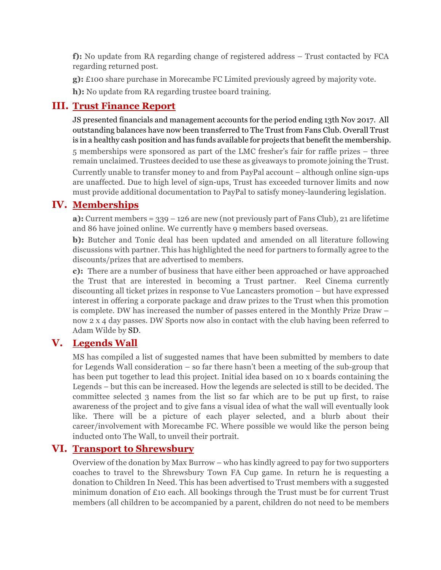**f):** No update from RA regarding change of registered address – Trust contacted by FCA regarding returned post.

**g):** £100 share purchase in Morecambe FC Limited previously agreed by majority vote.

**h):** No update from RA regarding trustee board training.

# **III. Trust Finance Report**

JS presented financials and management accounts for the period ending 13th Nov 2017. All outstanding balances have now been transferred to The Trust from Fans Club. Overall Trust is in a healthy cash position and has funds available for projects that benefit the membership. 5 memberships were sponsored as part of the LMC fresher's fair for raffle prizes – three remain unclaimed. Trustees decided to use these as giveaways to promote joining the Trust. Currently unable to transfer money to and from PayPal account – although online sign-ups are unaffected. Due to high level of sign-ups, Trust has exceeded turnover limits and now must provide additional documentation to PayPal to satisfy money-laundering legislation.

# **IV. Memberships**

**a):** Current members = 339 – 126 are new (not previously part of Fans Club), 21 are lifetime and 86 have joined online. We currently have 9 members based overseas.

**b):** Butcher and Tonic deal has been updated and amended on all literature following discussions with partner. This has highlighted the need for partners to formally agree to the discounts/prizes that are advertised to members.

**c):** There are a number of business that have either been approached or have approached the Trust that are interested in becoming a Trust partner. Reel Cinema currently discounting all ticket prizes in response to Vue Lancasters promotion – but have expressed interest in offering a corporate package and draw prizes to the Trust when this promotion is complete. DW has increased the number of passes entered in the Monthly Prize Draw – now 2 x 4 day passes. DW Sports now also in contact with the club having been referred to Adam Wilde by SD.

## **V. Legends Wall**

MS has compiled a list of suggested names that have been submitted by members to date for Legends Wall consideration – so far there hasn't been a meeting of the sub-group that has been put together to lead this project. Initial idea based on 10 x boards containing the Legends – but this can be increased. How the legends are selected is still to be decided. The committee selected 3 names from the list so far which are to be put up first, to raise awareness of the project and to give fans a visual idea of what the wall will eventually look like. There will be a picture of each player selected, and a blurb about their career/involvement with Morecambe FC. Where possible we would like the person being inducted onto The Wall, to unveil their portrait.

## **VI. Transport to Shrewsbury**

Overview of the donation by Max Burrow – who has kindly agreed to pay for two supporters coaches to travel to the Shrewsbury Town FA Cup game. In return he is requesting a donation to Children In Need. This has been advertised to Trust members with a suggested minimum donation of £10 each. All bookings through the Trust must be for current Trust members (all children to be accompanied by a parent, children do not need to be members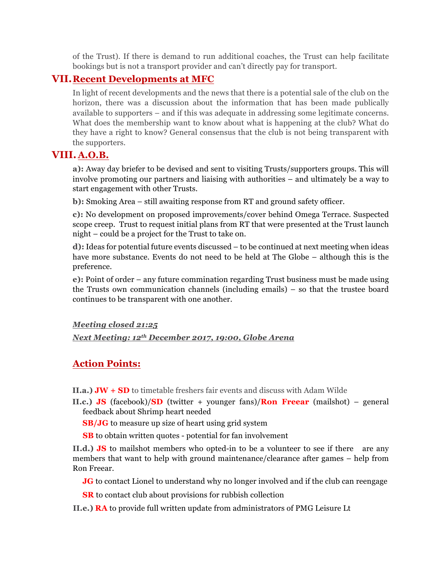of the Trust). If there is demand to run additional coaches, the Trust can help facilitate bookings but is not a transport provider and can't directly pay for transport.

#### **VII.Recent Developments at MFC**

In light of recent developments and the news that there is a potential sale of the club on the horizon, there was a discussion about the information that has been made publically available to supporters – and if this was adequate in addressing some legitimate concerns. What does the membership want to know about what is happening at the club? What do they have a right to know? General consensus that the club is not being transparent with the supporters.

## **VIII. A.O.B.**

**a):** Away day briefer to be devised and sent to visiting Trusts/supporters groups. This will involve promoting our partners and liaising with authorities – and ultimately be a way to start engagement with other Trusts.

**b):** Smoking Area – still awaiting response from RT and ground safety officer.

**c):** No development on proposed improvements/cover behind Omega Terrace. Suspected scope creep. Trust to request initial plans from RT that were presented at the Trust launch night – could be a project for the Trust to take on.

**d):** Ideas for potential future events discussed – to be continued at next meeting when ideas have more substance. Events do not need to be held at The Globe – although this is the preference.

**e):** Point of order – any future commination regarding Trust business must be made using the Trusts own communication channels (including emails) – so that the trustee board continues to be transparent with one another.

#### *Meeting closed 21:25*

*Next Meeting: 12th December 2017, 19:00, Globe Arena*

## **Action Points:**

**II.a.) JW + SD** to timetable freshers fair events and discuss with Adam Wilde

**II.c.) JS** (facebook)/**SD** (twitter + younger fans)/**Ron Freear** (mailshot) – general feedback about Shrimp heart needed

**SB/JG** to measure up size of heart using grid system

 **SB** to obtain written quotes - potential for fan involvement

**II.d.) JS** to mailshot members who opted-in to be a volunteer to see if there are any members that want to help with ground maintenance/clearance after games – help from Ron Freear.

**JG** to contact Lionel to understand why no longer involved and if the club can reengage

**SR** to contact club about provisions for rubbish collection

**II.e.) RA** to provide full written update from administrators of PMG Leisure Lt